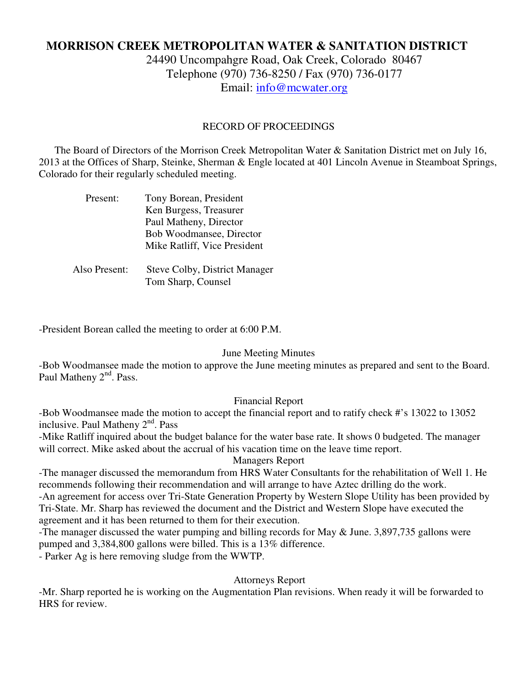# **MORRISON CREEK METROPOLITAN WATER & SANITATION DISTRICT**

24490 Uncompahgre Road, Oak Creek, Colorado 80467 Telephone (970) 736-8250 / Fax (970) 736-0177 Email: info@mcwater.org

#### RECORD OF PROCEEDINGS

 The Board of Directors of the Morrison Creek Metropolitan Water & Sanitation District met on July 16, 2013 at the Offices of Sharp, Steinke, Sherman & Engle located at 401 Lincoln Avenue in Steamboat Springs, Colorado for their regularly scheduled meeting.

| Present:      | Tony Borean, President               |
|---------------|--------------------------------------|
|               | Ken Burgess, Treasurer               |
|               | Paul Matheny, Director               |
|               | Bob Woodmansee, Director             |
|               | Mike Ratliff, Vice President         |
|               |                                      |
| Also Present: | <b>Steve Colby, District Manager</b> |
|               | Tom Sharp, Counsel                   |

-President Borean called the meeting to order at 6:00 P.M.

#### June Meeting Minutes

-Bob Woodmansee made the motion to approve the June meeting minutes as prepared and sent to the Board. Paul Matheny 2<sup>nd</sup>. Pass.

#### Financial Report

-Bob Woodmansee made the motion to accept the financial report and to ratify check #'s 13022 to 13052 inclusive. Paul Matheny 2<sup>nd</sup>. Pass

-Mike Ratliff inquired about the budget balance for the water base rate. It shows 0 budgeted. The manager will correct. Mike asked about the accrual of his vacation time on the leave time report.

### Managers Report

-The manager discussed the memorandum from HRS Water Consultants for the rehabilitation of Well 1. He recommends following their recommendation and will arrange to have Aztec drilling do the work. -An agreement for access over Tri-State Generation Property by Western Slope Utility has been provided by Tri-State. Mr. Sharp has reviewed the document and the District and Western Slope have executed the agreement and it has been returned to them for their execution.

-The manager discussed the water pumping and billing records for May & June. 3,897,735 gallons were pumped and 3,384,800 gallons were billed. This is a 13% difference.

- Parker Ag is here removing sludge from the WWTP.

### Attorneys Report

-Mr. Sharp reported he is working on the Augmentation Plan revisions. When ready it will be forwarded to HRS for review.